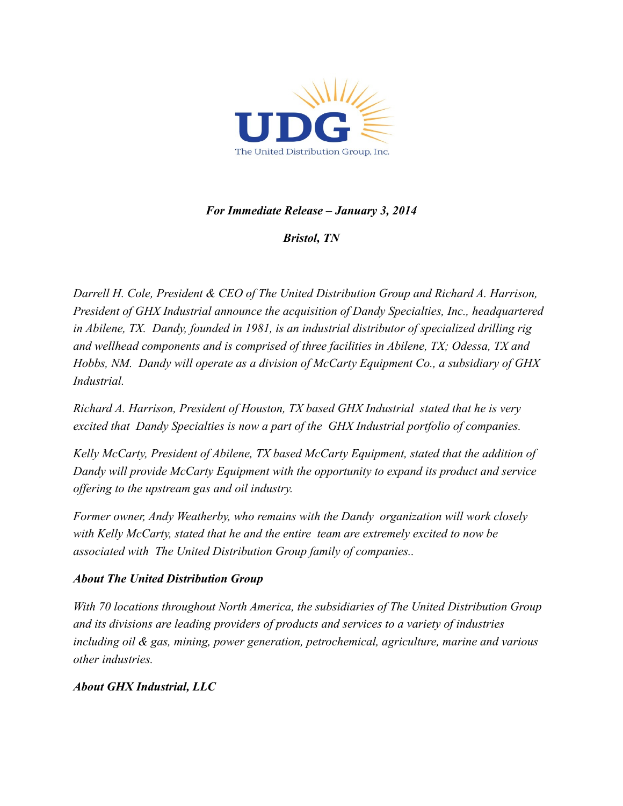

# *For Immediate Release – January 3, 2014*

*Bristol, TN*

*Darrell H. Cole, President & CEO of The United Distribution Group and Richard A. Harrison, President of GHX Industrial announce the acquisition of Dandy Specialties, Inc., headquartered in Abilene, TX. Dandy, founded in 1981, is an industrial distributor of specialized drilling rig and wellhead components and is comprised of three facilities in Abilene, TX; Odessa, TX and Hobbs, NM. Dandy will operate as a division of McCarty Equipment Co., a subsidiary of GHX Industrial.*

*Richard A. Harrison, President of Houston, TX based GHX Industrial stated that he is very excited that Dandy Specialties is now a part of the GHX Industrial portfolio of companies.*

*Kelly McCarty, President of Abilene, TX based McCarty Equipment, stated that the addition of Dandy will provide McCarty Equipment with the opportunity to expand its product and service offering to the upstream gas and oil industry.*

*Former owner, Andy Weatherby, who remains with the Dandy organization will work closely with Kelly McCarty, stated that he and the entire team are extremely excited to now be associated with The United Distribution Group family of companies..* 

## *About The United Distribution Group*

*With 70 locations throughout North America, the subsidiaries of The United Distribution Group and its divisions are leading providers of products and services to a variety of industries including oil & gas, mining, power generation, petrochemical, agriculture, marine and various other industries.*

## *About GHX Industrial, LLC*